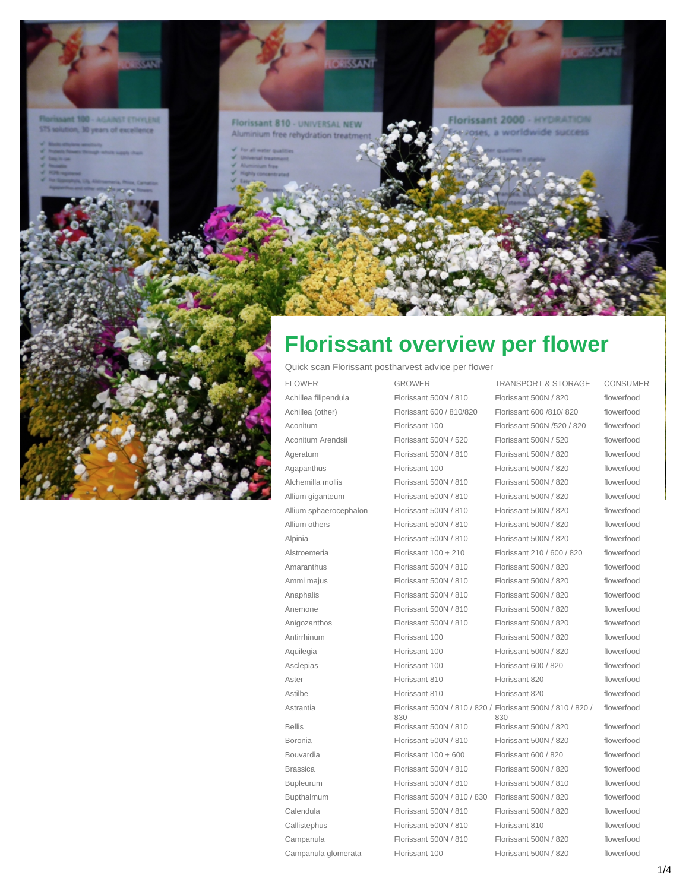

**Mant 100 - AGAINST ETHYLENE** STS solution, 30 years of excellence

- 
- 
- 
- 
- 



Florissant 810 - UNIVERSAL NEW inium free rehydration trea

**OSISSANT** 

Florissant 2000 - HYDRATION a worldwide success

## **Florissant overview per flower**

Quick scan Florissant postharvest advice per flower

Astrantia Florissant 500N / 810 / 820 / Campanula Florissant 500N / 810 Florissant 500N / 820 flowerfood Campanula glomerata Florissant 100 Florissant 500N / 820 flowerfood

830

FLOWER GROWER TRANSPORT & STORAGE CONSUMER Achillea filipendula Florissant 500N / 810 Florissant 500N / 820 flowerfood Achillea (other) Florissant 600 / 810/820 Florissant 600 /810/820 flowerfood Aconitum Florissant 100 Florissant 500N /520 / 820 flowerfood Aconitum Arendsii Florissant 500N / 520 Florissant 500N / 520 flowerfood Ageratum Florissant 500N / 810 Florissant 500N / 820 flowerfood Agapanthus Florissant 100 Florissant 500N / 820 flowerfood Alchemilla mollis Florissant 500N / 810 Florissant 500N / 820 flowerfood Allium giganteum Florissant 500N / 810 Florissant 500N / 820 flowerfood Allium sphaerocephalon Florissant 500N / 810 Florissant 500N / 820 flowerfood Allium others Florissant 500N / 810 Florissant 500N / 820 flowerfood Alpinia Florissant 500N / 810 Florissant 500N / 820 flowerfood Alstroemeria Florissant 100 + 210 Florissant 210 / 600 / 820 flowerfood Amaranthus Florissant 500N / 810 Florissant 500N / 820 flowerfood Ammi majus Florissant 500N / 810 Florissant 500N / 820 flowerfood Anaphalis Florissant 500N / 810 Florissant 500N / 820 flowerfood Anemone Florissant 500N / 810 Florissant 500N / 820 flowerfood Anigozanthos Florissant 500N / 810 Florissant 500N / 820 flowerfood Antirrhinum Florissant 100 Florissant 500N / 820 flowerfood Aquilegia Florissant 100 Florissant 500N / 820 flowerfood Asclepias Florissant 100 Florissant 600 / 820 flowerfood Aster Florissant 810 Florissant 820 flowerfood Astilbe **Florissant 810** Florissant 820 Florissant 820 Florissant 500N / 810 / 820 / 830 flowerfood Bellis Florissant 500N / 810 Florissant 500N / 820 flowerfood Boronia Florissant 500N / 810 Florissant 500N / 820 flowerfood Bouvardia Florissant 100 + 600 Florissant 600 / 820 flowerfood Brassica Florissant 500N / 810 Florissant 500N / 820 flowerfood Bupleurum Florissant 500N / 810 Florissant 500N / 810 flowerfood Bupthalmum Florissant 500N / 810 / 830 Florissant 500N / 820 flowerfood Calendula Florissant 500N / 810 Florissant 500N / 820 flowerfood Callistephus Florissant 500N / 810 Florissant 810 flowerfood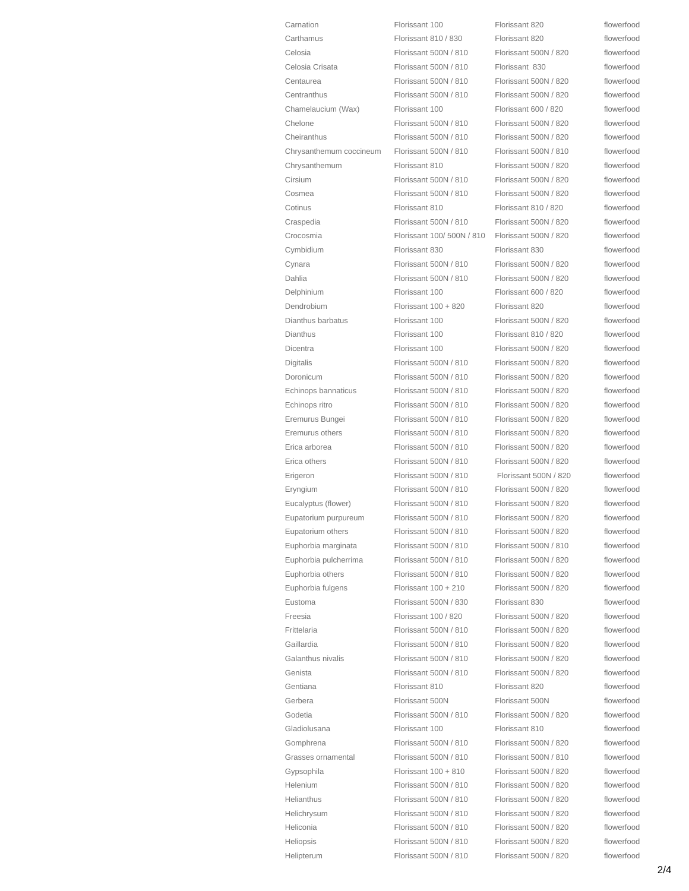| Carnation               | Florissant 100            | Florissant 820                                 | flowerfood |
|-------------------------|---------------------------|------------------------------------------------|------------|
| Carthamus               | Florissant 810 / 830      | Florissant 820                                 | flowerfood |
| Celosia                 | Florissant 500N / 810     | Florissant 500N / 820                          | flowerfood |
| Celosia Crisata         | Florissant 500N / 810     | Florissant 830                                 | flowerfood |
| Centaurea               | Florissant 500N / 810     | Florissant 500N / 820                          | flowerfood |
| Centranthus             | Florissant 500N / 810     | Florissant 500N / 820                          | flowerfood |
| Chamelaucium (Wax)      | Florissant 100            | Florissant 600 / 820                           | flowerfood |
| Chelone                 | Florissant 500N / 810     | Florissant 500N / 820                          | flowerfood |
| Cheiranthus             | Florissant 500N / 810     | Florissant 500N / 820                          | flowerfood |
|                         |                           |                                                | flowerfood |
| Chrysanthemum coccineum | Florissant 500N / 810     | Florissant 500N / 810<br>Florissant 500N / 820 | flowerfood |
| Chrysanthemum           | Florissant 810            |                                                |            |
| Cirsium                 | Florissant 500N / 810     | Florissant 500N / 820                          | flowerfood |
| Cosmea                  | Florissant 500N / 810     | Florissant 500N / 820                          | flowerfood |
| Cotinus                 | Florissant 810            | Florissant 810 / 820                           | flowerfood |
| Craspedia               | Florissant 500N / 810     | Florissant 500N / 820                          | flowerfood |
| Crocosmia               | Florissant 100/500N / 810 | Florissant 500N / 820                          | flowerfood |
| Cymbidium               | Florissant 830            | Florissant 830                                 | flowerfood |
| Cynara                  | Florissant 500N / 810     | Florissant 500N / 820                          | flowerfood |
| Dahlia                  | Florissant 500N / 810     | Florissant 500N / 820                          | flowerfood |
| Delphinium              | Florissant 100            | Florissant 600 / 820                           | flowerfood |
| Dendrobium              | Florissant 100 + 820      | Florissant 820                                 | flowerfood |
| Dianthus barbatus       | Florissant 100            | Florissant 500N / 820                          | flowerfood |
| Dianthus                | Florissant 100            | Florissant 810 / 820                           | flowerfood |
| Dicentra                | Florissant 100            | Florissant 500N / 820                          | flowerfood |
| Digitalis               | Florissant 500N / 810     | Florissant 500N / 820                          | flowerfood |
| Doronicum               | Florissant 500N / 810     | Florissant 500N / 820                          | flowerfood |
| Echinops bannaticus     | Florissant 500N / 810     | Florissant 500N / 820                          | flowerfood |
| Echinops ritro          | Florissant 500N / 810     | Florissant 500N / 820                          | flowerfood |
| Eremurus Bungei         | Florissant 500N / 810     | Florissant 500N / 820                          | flowerfood |
| Eremurus others         | Florissant 500N / 810     | Florissant 500N / 820                          | flowerfood |
| Erica arborea           | Florissant 500N / 810     | Florissant 500N / 820                          | flowerfood |
| Erica others            | Florissant 500N / 810     | Florissant 500N / 820                          | flowerfood |
| Erigeron                | Florissant 500N / 810     | Florissant 500N / 820                          | flowerfood |
| Eryngium                | Florissant 500N / 810     | Florissant 500N / 820                          | flowerfood |
| Eucalyptus (flower)     | Florissant 500N / 810     | Florissant 500N / 820                          | flowerfood |
| Eupatorium purpureum    | Florissant 500N / 810     | Florissant 500N / 820                          | flowerfood |
| Eupatorium others       | Florissant 500N / 810     | Florissant 500N / 820                          | flowerfood |
| Euphorbia marginata     | Florissant 500N / 810     | Florissant 500N / 810                          | flowerfood |
| Euphorbia pulcherrima   | Florissant 500N / 810     | Florissant 500N / 820                          | flowerfood |
| Euphorbia others        | Florissant 500N / 810     | Florissant 500N / 820                          | flowerfood |
| Euphorbia fulgens       | Florissant $100 + 210$    | Florissant 500N / 820                          | flowerfood |
| Eustoma                 | Florissant 500N / 830     | Florissant 830                                 | flowerfood |
| Freesia                 | Florissant 100 / 820      | Florissant 500N / 820                          | flowerfood |
| Frittelaria             | Florissant 500N / 810     | Florissant 500N / 820                          | flowerfood |
| Gaillardia              | Florissant 500N / 810     | Florissant 500N / 820                          | flowerfood |
| Galanthus nivalis       | Florissant 500N / 810     | Florissant 500N / 820                          | flowerfood |
| Genista                 | Florissant 500N / 810     | Florissant 500N / 820                          | flowerfood |
| Gentiana                | Florissant 810            | Florissant 820                                 | flowerfood |
| Gerbera                 | Florissant 500N           | Florissant 500N                                | flowerfood |
|                         |                           |                                                |            |
| Godetia                 | Florissant 500N / 810     | Florissant 500N / 820                          | flowerfood |
| Gladiolusana            | Florissant 100            | Florissant 810                                 | flowerfood |
| Gomphrena               | Florissant 500N / 810     | Florissant 500N / 820                          | flowerfood |
| Grasses ornamental      | Florissant 500N / 810     | Florissant 500N / 810                          | flowerfood |
| Gypsophila              | Florissant 100 + 810      | Florissant 500N / 820                          | flowerfood |
| Helenium                | Florissant 500N / 810     | Florissant 500N / 820                          | flowerfood |
| <b>Helianthus</b>       | Florissant 500N / 810     | Florissant 500N / 820                          | flowerfood |
| Helichrysum             | Florissant 500N / 810     | Florissant 500N / 820                          | flowerfood |
| Heliconia               | Florissant 500N / 810     | Florissant 500N / 820                          | flowerfood |
| Heliopsis               | Florissant 500N / 810     | Florissant 500N / 820                          | flowerfood |
| Helipterum              | Florissant 500N / 810     | Florissant 500N / 820                          | flowerfood |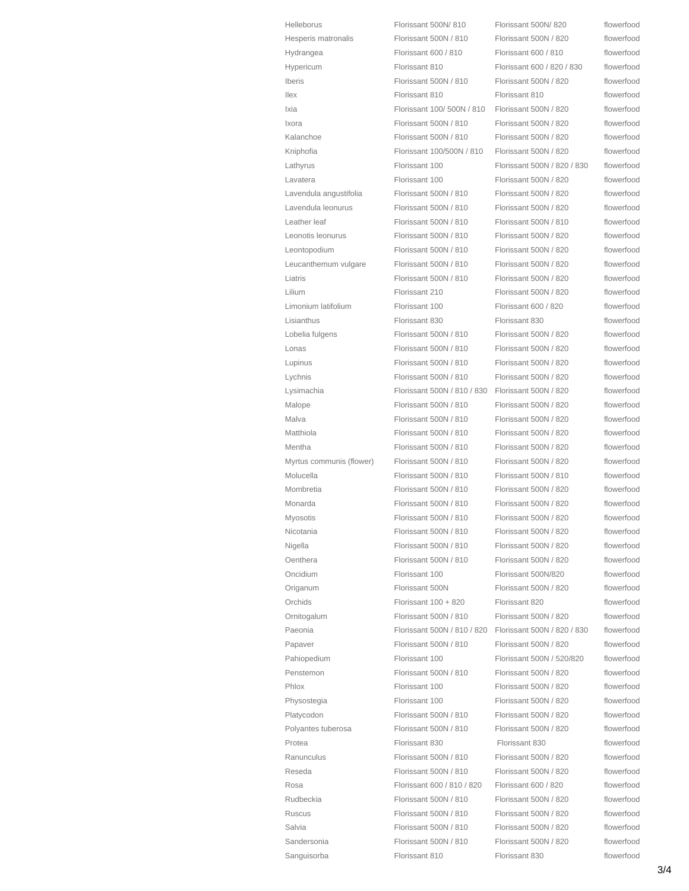| <b>Helleborus</b>        | Florissant 500N/810         | Florissant 500N/820         | flowerfood |
|--------------------------|-----------------------------|-----------------------------|------------|
| Hesperis matronalis      | Florissant 500N / 810       | Florissant 500N / 820       | flowerfood |
| Hydrangea                | Florissant 600 / 810        | Florissant 600 / 810        | flowerfood |
| Hypericum                | Florissant 810              | Florissant 600 / 820 / 830  | flowerfood |
| Iberis                   | Florissant 500N / 810       | Florissant 500N / 820       | flowerfood |
| <b>llex</b>              | Florissant 810              | Florissant 810              | flowerfood |
| Ixia                     | Florissant 100/500N / 810   | Florissant 500N / 820       | flowerfood |
| <b>Ixora</b>             | Florissant 500N / 810       | Florissant 500N / 820       | flowerfood |
| Kalanchoe                | Florissant 500N / 810       | Florissant 500N / 820       | flowerfood |
| Kniphofia                | Florissant 100/500N / 810   | Florissant 500N / 820       | flowerfood |
| Lathyrus                 | Florissant 100              | Florissant 500N / 820 / 830 | flowerfood |
| Lavatera                 | Florissant 100              | Florissant 500N / 820       | flowerfood |
| Lavendula angustifolia   | Florissant 500N / 810       | Florissant 500N / 820       | flowerfood |
| Lavendula leonurus       | Florissant 500N / 810       | Florissant 500N / 820       | flowerfood |
| Leather leaf             | Florissant 500N / 810       | Florissant 500N / 810       | flowerfood |
| Leonotis leonurus        | Florissant 500N / 810       | Florissant 500N / 820       | flowerfood |
| Leontopodium             | Florissant 500N / 810       | Florissant 500N / 820       | flowerfood |
| Leucanthemum vulgare     | Florissant 500N / 810       | Florissant 500N / 820       | flowerfood |
| Liatris                  | Florissant 500N / 810       | Florissant 500N / 820       | flowerfood |
| Lilium                   | Florissant 210              | Florissant 500N / 820       | flowerfood |
| Limonium latifolium      | Florissant 100              | Florissant 600 / 820        | flowerfood |
| Lisianthus               | Florissant 830              | Florissant 830              | flowerfood |
| Lobelia fulgens          | Florissant 500N / 810       | Florissant 500N / 820       | flowerfood |
| Lonas                    | Florissant 500N / 810       | Florissant 500N / 820       | flowerfood |
| Lupinus                  | Florissant 500N / 810       | Florissant 500N / 820       | flowerfood |
| Lychnis                  | Florissant 500N / 810       | Florissant 500N / 820       | flowerfood |
| Lysimachia               | Florissant 500N / 810 / 830 | Florissant 500N / 820       | flowerfood |
| Malope                   | Florissant 500N / 810       | Florissant 500N / 820       | flowerfood |
| Malva                    | Florissant 500N / 810       | Florissant 500N / 820       | flowerfood |
| Matthiola                | Florissant 500N / 810       | Florissant 500N / 820       | flowerfood |
| Mentha                   | Florissant 500N / 810       | Florissant 500N / 820       | flowerfood |
| Myrtus communis (flower) | Florissant 500N / 810       | Florissant 500N / 820       | flowerfood |
| Molucella                | Florissant 500N / 810       | Florissant 500N / 810       | flowerfood |
| Mombretia                | Florissant 500N / 810       | Florissant 500N / 820       | flowerfood |
| Monarda                  | Florissant 500N / 810       | Florissant 500N / 820       | flowerfood |
| Myosotis                 | Florissant 500N / 810       | Florissant 500N / 820       | flowerfood |
| Nicotania                | Florissant 500N / 810       | Florissant 500N / 820       | flowerfood |
| Nigella                  | Florissant 500N / 810       | Florissant 500N / 820       | flowerfood |
| Oenthera                 | Florissant 500N / 810       | Florissant 500N / 820       | flowerfood |
| Oncidium                 | Florissant 100              | Florissant 500N/820         | flowerfood |
| Origanum                 | Florissant 500N             | Florissant 500N / 820       | flowerfood |
| Orchids                  | Florissant 100 + 820        | Florissant 820              | flowerfood |
| Ornitogalum              | Florissant 500N / 810       | Florissant 500N / 820       | flowerfood |
| Paeonia                  | Florissant 500N / 810 / 820 | Florissant 500N / 820 / 830 | flowerfood |
| Papaver                  | Florissant 500N / 810       | Florissant 500N / 820       | flowerfood |
| Pahiopedium              | Florissant 100              | Florissant 500N / 520/820   | flowerfood |
| Penstemon                | Florissant 500N / 810       | Florissant 500N / 820       | flowerfood |
| Phlox                    | Florissant 100              | Florissant 500N / 820       | flowerfood |
| Physostegia              | Florissant 100              | Florissant 500N / 820       | flowerfood |
| Platycodon               | Florissant 500N / 810       | Florissant 500N / 820       | flowerfood |
| Polyantes tuberosa       | Florissant 500N / 810       | Florissant 500N / 820       | flowerfood |
| Protea                   | Florissant 830              | Florissant 830              | flowerfood |
| Ranunculus               | Florissant 500N / 810       | Florissant 500N / 820       | flowerfood |
| Reseda                   | Florissant 500N / 810       | Florissant 500N / 820       | flowerfood |
| Rosa                     | Florissant 600 / 810 / 820  | Florissant 600 / 820        | flowerfood |
| Rudbeckia                | Florissant 500N / 810       | Florissant 500N / 820       | flowerfood |
| Ruscus                   | Florissant 500N / 810       | Florissant 500N / 820       | flowerfood |
| Salvia                   | Florissant 500N / 810       | Florissant 500N / 820       | flowerfood |
| Sandersonia              | Florissant 500N / 810       | Florissant 500N / 820       | flowerfood |
| Sanguisorba              | Florissant 810              | Florissant 830              | flowerfood |